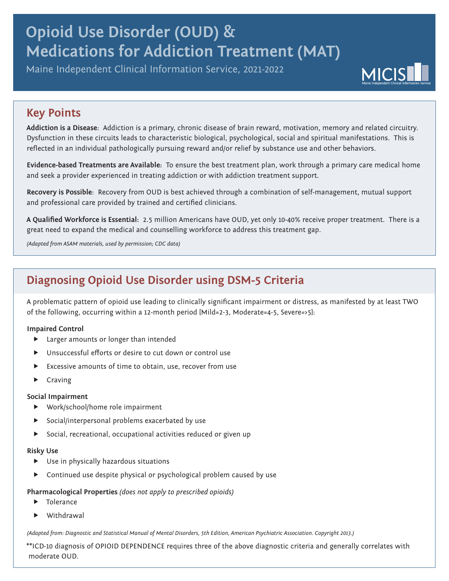# **Opioid Use Disorder (OUD) & Medications for Addiction Treatment (MAT)**

Maine Independent Clinical Information Service, 2021-2022



### **Key Points**

**Addiction is a Disease**: Addiction is a primary, chronic disease of brain reward, motivation, memory and related circuitry. Dysfunction in these circuits leads to characteristic biological, psychological, social and spiritual manifestations. This is reflected in an individual pathologically pursuing reward and/or relief by substance use and other behaviors.

**Evidence-based Treatments are Available:** To ensure the best treatment plan, work through a primary care medical home and seek a provider experienced in treating addiction or with addiction treatment support.

**Recovery is Possible**: Recovery from OUD is best achieved through a combination of self-management, mutual support and professional care provided by trained and certified clinicians.

**A Qualified Workforce is Essential:** 2.5 million Americans have OUD, yet only 10-40% receive proper treatment. There is a great need to expand the medical and counselling workforce to address this treatment gap.

*(Adapted from ASAM materials, used by permission; CDC data)*

### **Diagnosing Opioid Use Disorder using DSM-5 Criteria**

A problematic pattern of opioid use leading to clinically significant impairment or distress, as manifested by at least TWO of the following, occurring within a 12-month period [Mild=2-3, Moderate=4-5, Severe=>5]:

#### **Impaired Control**

- **F** Larger amounts or longer than intended
- Unsuccessful efforts or desire to cut down or control use
- Excessive amounts of time to obtain, use, recover from use
- $\blacktriangleright$  Craving

#### **Social Impairment**

- $\blacktriangleright$  Work/school/home role impairment
- Social/interpersonal problems exacerbated by use
- **F** Social, recreational, occupational activities reduced or given up

#### **Risky Use**

- $\blacktriangleright$  Use in physically hazardous situations
- f Continued use despite physical or psychological problem caused by use

#### **Pharmacological Properties** *(does not apply to prescribed opioids)*

- $\blacktriangleright$  Tolerance
- Withdrawal

*(Adapted from: Diagnostic and Statistical Manual of Mental Disorders, 5th Edition, American Psychiatric Association. Copyright 2013.)*

\*\*ICD-10 diagnosis of OPIOID DEPENDENCE requires three of the above diagnostic criteria and generally correlates with moderate OUD.